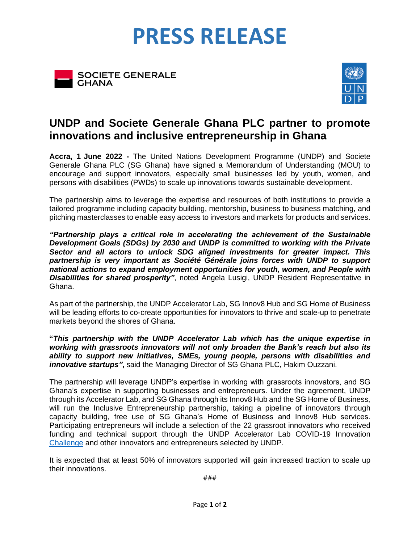# **PRESS RELEASE**





## **UNDP and Societe Generale Ghana PLC partner to promote innovations and inclusive entrepreneurship in Ghana**

**Accra, 1 June 2022 -** The United Nations Development Programme (UNDP) and Societe Generale Ghana PLC (SG Ghana) have signed a Memorandum of Understanding (MOU) to encourage and support innovators, especially small businesses led by youth, women, and persons with disabilities (PWDs) to scale up innovations towards sustainable development.

The partnership aims to leverage the expertise and resources of both institutions to provide a tailored programme including capacity building, mentorship, business to business matching, and pitching masterclasses to enable easy access to investors and markets for products and services.

*"Partnership plays a critical role in accelerating the achievement of the Sustainable Development Goals (SDGs) by 2030 and UNDP is committed to working with the Private Sector and all actors to unlock SDG aligned investments for greater impact. This partnership is very important as Société Générale joins forces with UNDP to support national actions to expand employment opportunities for youth, women, and People with Disabilities for shared prosperity"*, noted Angela Lusigi, UNDP Resident Representative in Ghana.

As part of the partnership, the UNDP Accelerator Lab, SG Innov8 Hub and SG Home of Business will be leading efforts to co-create opportunities for innovators to thrive and scale-up to penetrate markets beyond the shores of Ghana.

**"***This partnership with the UNDP Accelerator Lab which has the unique expertise in working with grassroots innovators will not only broaden the Bank's reach but also its ability to support new initiatives, SMEs, young people, persons with disabilities and innovative startups"***,** said the Managing Director of SG Ghana PLC, Hakim Ouzzani.

The partnership will leverage UNDP's expertise in working with grassroots innovators, and SG Ghana's expertise in supporting businesses and entrepreneurs. Under the agreement, UNDP through its Accelerator Lab, and SG Ghana through its Innov8 Hub and the SG Home of Business, will run the Inclusive Entrepreneurship partnership, taking a pipeline of innovators through capacity building, free use of SG Ghana's Home of Business and Innov8 Hub services. Participating entrepreneurs will include a selection of the 22 grassroot innovators who received funding and technical support through the UNDP Accelerator Lab COVID-19 Innovation [Challenge](https://www.gh.undp.org/content/ghana/en/home/presscenter/pressreleases/2020/undp-ghana-announces-22-winners-of-its-covid-19-innovation-chall.html) and other innovators and entrepreneurs selected by UNDP.

It is expected that at least 50% of innovators supported will gain increased traction to scale up their innovations.

###